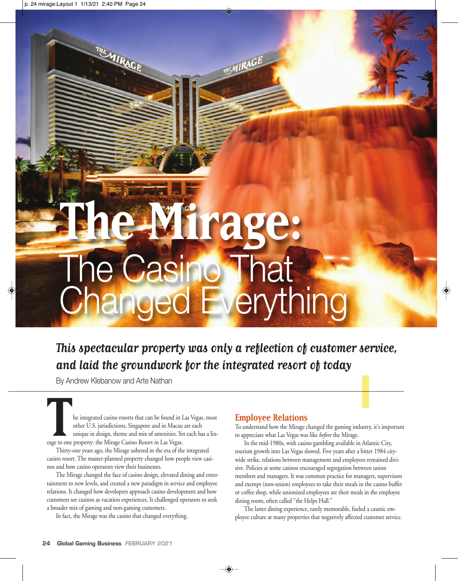# **The Mirage:**  The Casino That Changed Everything

**This spectacular property was only a reflection of customer service, and laid the groundwork for the integrated resort of today**

**MEMIRAGE** 

By Andrew Klebanow and Arte Nathan

MIRAGE

**The integrated casino resorts that can be found in Las Vegas, most**<br>tother U.S. jurisdictions, Singapore and in Macau are each<br>unique in design, theme and mix of amenities. Yet each has a linother U.S. jurisdictions, Singapore and in Macau are each eage to one property: the Mirage Casino Resort in Las Vegas.

Thirty-one years ago, the Mirage ushered in the era of the integrated casino resort. The master-planned property changed how people view casinos and how casino operators view their businesses.

The Mirage changed the face of casino design, elevated dining and entertainment to new levels, and created a new paradigm in service and employee relations. It changed how developers approach casino development and how customers see casinos as vacation experiences. It challenged operators to seek a broader mix of gaming and non-gaming customers.

In fact, the Mirage was the casino that changed everything.

### **Employee Relations**

To understand how the Mirage changed the gaming industry, it's important to appreciate what Las Vegas was like *before* the Mirage.

In the mid-1980s, with casino gambling available in Atlantic City, tourism growth into Las Vegas slowed. Five years after a bitter 1984 citywide strike, relations between management and employees remained divisive. Policies at some casinos encouraged segregation between union members and managers. It was common practice for managers, supervisors and exempt (non-union) employees to take their meals in the casino buffet or coffee shop, while unionized employees ate their meals in the employee dining room, often called "the Helps Hall."

The latter dining experience, rarely memorable, fueled a caustic employee culture at many properties that negatively affected customer service.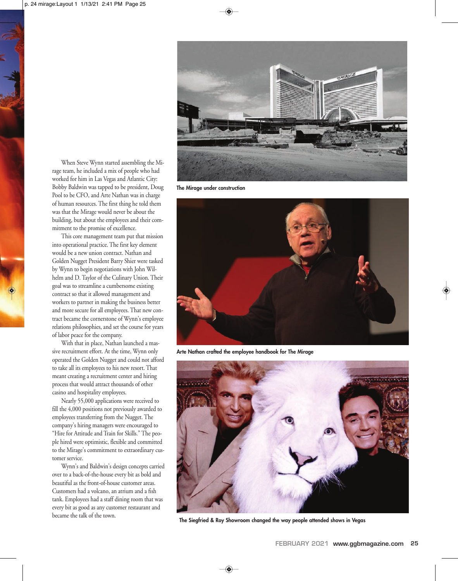

**The Mirage under construction**



**Arte Nathan crafted the employee handbook for The Mirage**



When Steve Wynn started assembling the Mirage team, he included a mix of people who had worked for him in Las Vegas and Atlantic City: Bobby Baldwin was tapped to be president, Doug Pool to be CFO, and Arte Nathan was in charge of human resources. The first thing he told them was that the Mirage would never be about the building, but about the employees and their commitment to the promise of excellence.

This core management team put that mission into operational practice. The first key element would be a new union contract. Nathan and Golden Nugget President Barry Shier were tasked by Wynn to begin negotiations with John Wilhelm and D. Taylor of the Culinary Union. Their goal was to streamline a cumbersome existing contract so that it allowed management and workers to partner in making the business better and more secure for all employees. That new contract became the cornerstone of Wynn's employee relations philosophies, and set the course for years of labor peace for the company.

With that in place, Nathan launched a massive recruitment effort. At the time, Wynn only operated the Golden Nugget and could not afford to take all its employees to his new resort. That meant creating a recruitment center and hiring process that would attract thousands of other casino and hospitality employees.

Nearly 55,000 applications were received to fill the 4,000 positions not previously awarded to employees transferring from the Nugget. The company's hiring managers were encouraged to "Hire for Attitude and Train for Skills." The people hired were optimistic, flexible and committed to the Mirage's commitment to extraordinary customer service.

Wynn's and Baldwin's design concepts carried over to a back-of-the-house every bit as bold and beautiful as the front-of-house customer areas. Customers had a volcano, an atrium and a fish tank. Employees had a staff dining room that was every bit as good as any customer restaurant and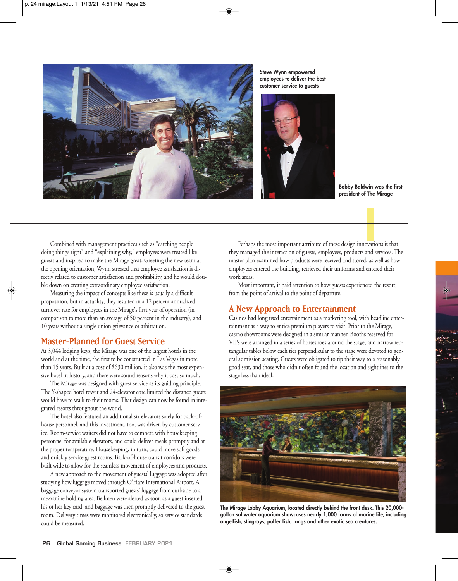

**Steve Wynn empowered employees to deliver the best customer service to guests**



**Bobby Baldwin was the first president of The Mirage**

Combined with management practices such as "catching people doing things right" and "explaining why," employees were treated like guests and inspired to make the Mirage great. Greeting the new team at the opening orientation, Wynn stressed that employee satisfaction is directly related to customer satisfaction and profitability, and he would double down on creating extraordinary employee satisfaction.

Measuring the impact of concepts like these is usually a difficult proposition, but in actuality, they resulted in a 12 percent annualized turnover rate for employees in the Mirage's first year of operation (in comparison to more than an average of 50 percent in the industry), and 10 years without a single union grievance or arbitration.

#### **Master-Planned for Guest Service**

At 3,044 lodging keys, the Mirage was one of the largest hotels in the world and at the time, the first to be constructed in Las Vegas in more than 15 years. Built at a cost of \$630 million, it also was the most expensive hotel in history, and there were sound reasons why it cost so much.

The Mirage was designed with guest service as its guiding principle. The Y-shaped hotel tower and 24-elevator core limited the distance guests would have to walk to their rooms. That design can now be found in integrated resorts throughout the world.

The hotel also featured an additional six elevators solely for back-ofhouse personnel, and this investment, too, was driven by customer service. Room-service waiters did not have to compete with housekeeping personnel for available elevators, and could deliver meals promptly and at the proper temperature. Housekeeping, in turn, could move soft goods and quickly service guest rooms. Back-of-house transit corridors were built wide to allow for the seamless movement of employees and products.

A new approach to the movement of guests' luggage was adopted after studying how luggage moved through O'Hare International Airport. A baggage conveyor system transported guests' luggage from curbside to a mezzanine holding area. Bellmen were alerted as soon as a guest inserted his or her key card, and baggage was then promptly delivered to the guest room. Delivery times were monitored electronically, so service standards could be measured.

Perhaps the most important attribute of these design innovations is that they managed the interaction of guests, employees, products and services. The master plan examined how products were received and stored, as well as how employees entered the building, retrieved their uniforms and entered their work areas.

Most important, it paid attention to how guests experienced the resort, from the point of arrival to the point of departure.

### **A New Approach to Entertainment**

Casinos had long used entertainment as a marketing tool, with headline entertainment as a way to entice premium players to visit. Prior to the Mirage, casino showrooms were designed in a similar manner. Booths reserved for VIPs were arranged in a series of horseshoes around the stage, and narrow rectangular tables below each tier perpendicular to the stage were devoted to general admission seating. Guests were obligated to tip their way to a reasonably good seat, and those who didn't often found the location and sightlines to the stage less than ideal.



**The Mirage Lobby Aquarium, located directly behind the front desk. This 20,000 gallon saltwater aquarium showcases nearly 1,000 forms of marine life, including angelfish, stingrays, puffer fish, tangs and other exotic sea creatures.**